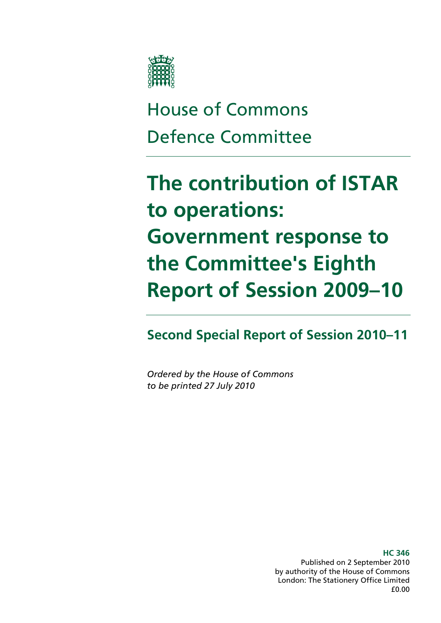

# House of Commons Defence Committee

# **The contribution of ISTAR to operations: Government response to the Committee's Eighth Report of Session 2009–10**

**Second Special Report of Session 2010–11** 

*Ordered by the House of Commons to be printed 27 July 2010* 

> **HC 346**  Published on 2 September 2010 by authority of the House of Commons London: The Stationery Office Limited £0.00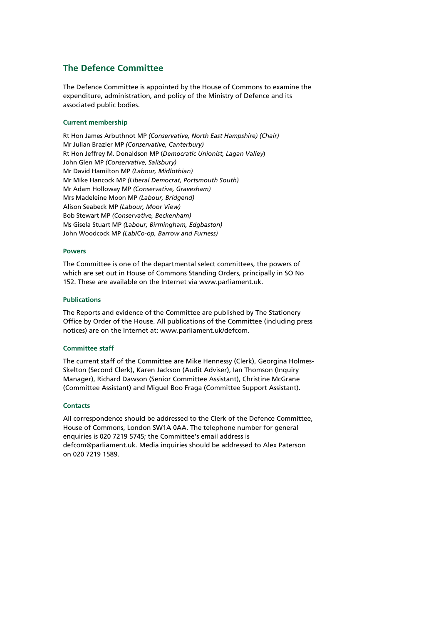#### **The Defence Committee**

The Defence Committee is appointed by the House of Commons to examine the expenditure, administration, and policy of the Ministry of Defence and its associated public bodies.

#### **Current membership**

Rt Hon James Arbuthnot MP *(Conservative, North East Hampshire) (Chair)* Mr Julian Brazier MP *(Conservative, Canterbury)*  Rt Hon Jeffrey M. Donaldson MP (*Democratic Unionist, Lagan Valley*) John Glen MP *(Conservative, Salisbury)* Mr David Hamilton MP *(Labour, Midlothian)* Mr Mike Hancock MP *(Liberal Democrat, Portsmouth South)* Mr Adam Holloway MP *(Conservative, Gravesham)* Mrs Madeleine Moon MP *(Labour, Bridgend)* Alison Seabeck MP *(Labour, Moor View)* Bob Stewart MP *(Conservative, Beckenham)*  Ms Gisela Stuart MP *(Labour, Birmingham, Edgbaston)*  John Woodcock MP *(Lab/Co-op, Barrow and Furness)*

#### **Powers**

The Committee is one of the departmental select committees, the powers of which are set out in House of Commons Standing Orders, principally in SO No 152. These are available on the Internet via www.parliament.uk.

#### **Publications**

The Reports and evidence of the Committee are published by The Stationery Office by Order of the House. All publications of the Committee (including press notices) are on the Internet at: www.parliament.uk/defcom.

#### **Committee staff**

The current staff of the Committee are Mike Hennessy (Clerk), Georgina Holmes-Skelton (Second Clerk), Karen Jackson (Audit Adviser), Ian Thomson (Inquiry Manager), Richard Dawson (Senior Committee Assistant), Christine McGrane (Committee Assistant) and Miguel Boo Fraga (Committee Support Assistant).

#### **Contacts**

All correspondence should be addressed to the Clerk of the Defence Committee, House of Commons, London SW1A 0AA. The telephone number for general enquiries is 020 7219 5745; the Committee's email address is defcom@parliament.uk. Media inquiries should be addressed to Alex Paterson on 020 7219 1589.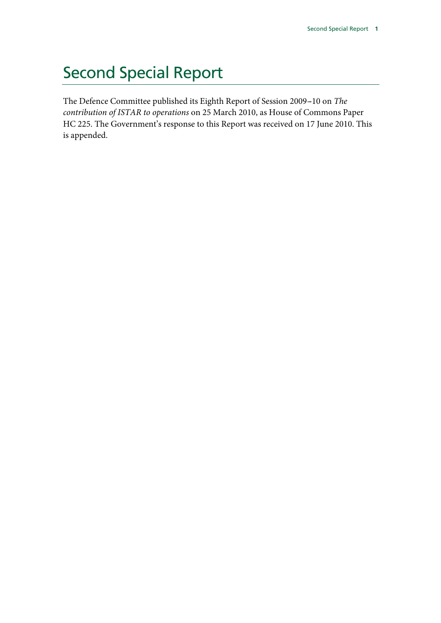# Second Special Report

The Defence Committee published its Eighth Report of Session 2009--10 on *The contribution of ISTAR to operations* on 25 March 2010, as House of Commons Paper HC 225. The Government's response to this Report was received on 17 June 2010. This is appended.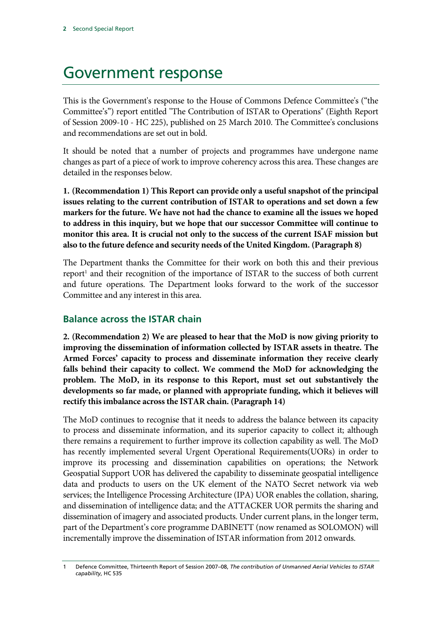# Government response

This is the Government's response to the House of Commons Defence Committee's ("the Committee's") report entitled "The Contribution of ISTAR to Operations" (Eighth Report of Session 2009-10 - HC 225), published on 25 March 2010. The Committee's conclusions and recommendations are set out in bold.

It should be noted that a number of projects and programmes have undergone name changes as part of a piece of work to improve coherency across this area. These changes are detailed in the responses below.

**1. (Recommendation 1) This Report can provide only a useful snapshot of the principal issues relating to the current contribution of ISTAR to operations and set down a few markers for the future. We have not had the chance to examine all the issues we hoped to address in this inquiry, but we hope that our successor Committee will continue to monitor this area. It is crucial not only to the success of the current ISAF mission but also to the future defence and security needs of the United Kingdom. (Paragraph 8)** 

The Department thanks the Committee for their work on both this and their previous report<sup>1</sup> and their recognition of the importance of ISTAR to the success of both current and future operations. The Department looks forward to the work of the successor Committee and any interest in this area.

### **Balance across the ISTAR chain**

**2. (Recommendation 2) We are pleased to hear that the MoD is now giving priority to improving the dissemination of information collected by ISTAR assets in theatre. The Armed Forces' capacity to process and disseminate information they receive clearly falls behind their capacity to collect. We commend the MoD for acknowledging the problem. The MoD, in its response to this Report, must set out substantively the developments so far made, or planned with appropriate funding, which it believes will rectify this imbalance across the ISTAR chain. (Paragraph 14)** 

The MoD continues to recognise that it needs to address the balance between its capacity to process and disseminate information, and its superior capacity to collect it; although there remains a requirement to further improve its collection capability as well. The MoD has recently implemented several Urgent Operational Requirements(UORs) in order to improve its processing and dissemination capabilities on operations; the Network Geospatial Support UOR has delivered the capability to disseminate geospatial intelligence data and products to users on the UK element of the NATO Secret network via web services; the Intelligence Processing Architecture (IPA) UOR enables the collation, sharing, and dissemination of intelligence data; and the ATTACKER UOR permits the sharing and dissemination of imagery and associated products. Under current plans, in the longer term, part of the Department's core programme DABINETT (now renamed as SOLOMON) will incrementally improve the dissemination of ISTAR information from 2012 onwards.

<sup>1</sup> Defence Committee, Thirteenth Report of Session 2007–08, *The contribution of Unmanned Aerial Vehicles to ISTAR capability*, HC 535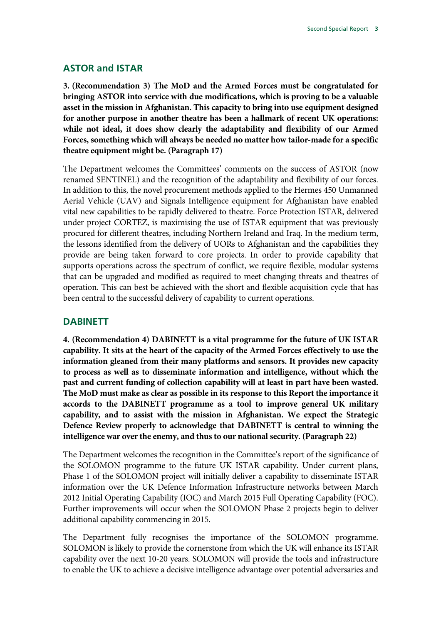#### **ASTOR and ISTAR**

**3. (Recommendation 3) The MoD and the Armed Forces must be congratulated for bringing ASTOR into service with due modifications, which is proving to be a valuable asset in the mission in Afghanistan. This capacity to bring into use equipment designed for another purpose in another theatre has been a hallmark of recent UK operations: while not ideal, it does show clearly the adaptability and flexibility of our Armed Forces, something which will always be needed no matter how tailor-made for a specific theatre equipment might be. (Paragraph 17)** 

The Department welcomes the Committees' comments on the success of ASTOR (now renamed SENTINEL) and the recognition of the adaptability and flexibility of our forces. In addition to this, the novel procurement methods applied to the Hermes 450 Unmanned Aerial Vehicle (UAV) and Signals Intelligence equipment for Afghanistan have enabled vital new capabilities to be rapidly delivered to theatre. Force Protection ISTAR, delivered under project CORTEZ, is maximising the use of ISTAR equipment that was previously procured for different theatres, including Northern Ireland and Iraq. In the medium term, the lessons identified from the delivery of UORs to Afghanistan and the capabilities they provide are being taken forward to core projects. In order to provide capability that supports operations across the spectrum of conflict, we require flexible, modular systems that can be upgraded and modified as required to meet changing threats and theatres of operation. This can best be achieved with the short and flexible acquisition cycle that has been central to the successful delivery of capability to current operations.

#### **DABINETT**

**4. (Recommendation 4) DABINETT is a vital programme for the future of UK ISTAR capability. It sits at the heart of the capacity of the Armed Forces effectively to use the information gleaned from their many platforms and sensors. It provides new capacity to process as well as to disseminate information and intelligence, without which the past and current funding of collection capability will at least in part have been wasted. The MoD must make as clear as possible in its response to this Report the importance it accords to the DABINETT programme as a tool to improve general UK military capability, and to assist with the mission in Afghanistan. We expect the Strategic Defence Review properly to acknowledge that DABINETT is central to winning the intelligence war over the enemy, and thus to our national security. (Paragraph 22)** 

The Department welcomes the recognition in the Committee's report of the significance of the SOLOMON programme to the future UK ISTAR capability. Under current plans, Phase 1 of the SOLOMON project will initially deliver a capability to disseminate ISTAR information over the UK Defence Information Infrastructure networks between March 2012 Initial Operating Capability (IOC) and March 2015 Full Operating Capability (FOC). Further improvements will occur when the SOLOMON Phase 2 projects begin to deliver additional capability commencing in 2015.

The Department fully recognises the importance of the SOLOMON programme. SOLOMON is likely to provide the cornerstone from which the UK will enhance its ISTAR capability over the next 10-20 years. SOLOMON will provide the tools and infrastructure to enable the UK to achieve a decisive intelligence advantage over potential adversaries and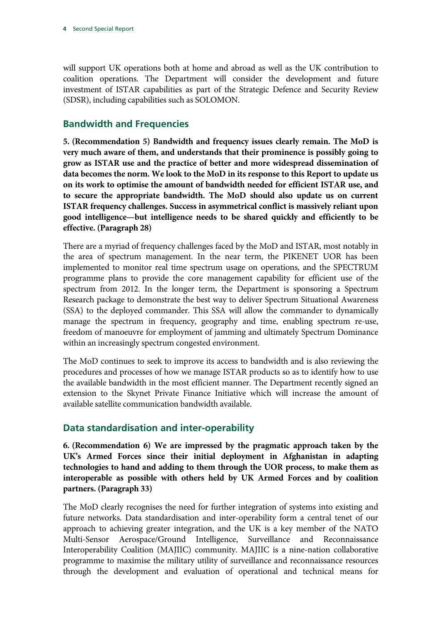will support UK operations both at home and abroad as well as the UK contribution to coalition operations. The Department will consider the development and future investment of ISTAR capabilities as part of the Strategic Defence and Security Review (SDSR), including capabilities such as SOLOMON.

# **Bandwidth and Frequencies**

**5. (Recommendation 5) Bandwidth and frequency issues clearly remain. The MoD is very much aware of them, and understands that their prominence is possibly going to grow as ISTAR use and the practice of better and more widespread dissemination of data becomes the norm. We look to the MoD in its response to this Report to update us on its work to optimise the amount of bandwidth needed for efficient ISTAR use, and to secure the appropriate bandwidth. The MoD should also update us on current ISTAR frequency challenges. Success in asymmetrical conflict is massively reliant upon good intelligence—but intelligence needs to be shared quickly and efficiently to be effective. (Paragraph 28)** 

There are a myriad of frequency challenges faced by the MoD and ISTAR, most notably in the area of spectrum management. In the near term, the PIKENET UOR has been implemented to monitor real time spectrum usage on operations, and the SPECTRUM programme plans to provide the core management capability for efficient use of the spectrum from 2012. In the longer term, the Department is sponsoring a Spectrum Research package to demonstrate the best way to deliver Spectrum Situational Awareness (SSA) to the deployed commander. This SSA will allow the commander to dynamically manage the spectrum in frequency, geography and time, enabling spectrum re-use, freedom of manoeuvre for employment of jamming and ultimately Spectrum Dominance within an increasingly spectrum congested environment.

The MoD continues to seek to improve its access to bandwidth and is also reviewing the procedures and processes of how we manage ISTAR products so as to identify how to use the available bandwidth in the most efficient manner. The Department recently signed an extension to the Skynet Private Finance Initiative which will increase the amount of available satellite communication bandwidth available.

# **Data standardisation and inter-operability**

**6. (Recommendation 6) We are impressed by the pragmatic approach taken by the UK's Armed Forces since their initial deployment in Afghanistan in adapting technologies to hand and adding to them through the UOR process, to make them as interoperable as possible with others held by UK Armed Forces and by coalition partners. (Paragraph 33)** 

The MoD clearly recognises the need for further integration of systems into existing and future networks. Data standardisation and inter-operability form a central tenet of our approach to achieving greater integration, and the UK is a key member of the NATO Multi-Sensor Aerospace/Ground Intelligence, Surveillance and Reconnaissance Interoperability Coalition (MAJIIC) community. MAJIIC is a nine-nation collaborative programme to maximise the military utility of surveillance and reconnaissance resources through the development and evaluation of operational and technical means for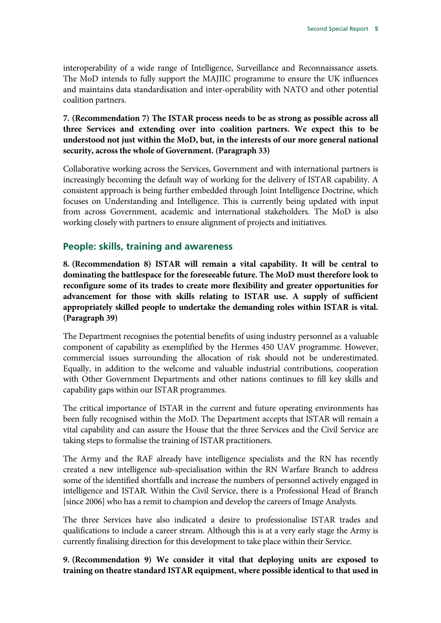interoperability of a wide range of Intelligence, Surveillance and Reconnaissance assets. The MoD intends to fully support the MAJIIC programme to ensure the UK influences and maintains data standardisation and inter-operability with NATO and other potential coalition partners.

#### **7. (Recommendation 7) The ISTAR process needs to be as strong as possible across all three Services and extending over into coalition partners. We expect this to be understood not just within the MoD, but, in the interests of our more general national security, across the whole of Government. (Paragraph 33)**

Collaborative working across the Services, Government and with international partners is increasingly becoming the default way of working for the delivery of ISTAR capability. A consistent approach is being further embedded through Joint Intelligence Doctrine, which focuses on Understanding and Intelligence. This is currently being updated with input from across Government, academic and international stakeholders. The MoD is also working closely with partners to ensure alignment of projects and initiatives.

#### **People: skills, training and awareness**

**8. (Recommendation 8) ISTAR will remain a vital capability. It will be central to dominating the battlespace for the foreseeable future. The MoD must therefore look to reconfigure some of its trades to create more flexibility and greater opportunities for advancement for those with skills relating to ISTAR use. A supply of sufficient appropriately skilled people to undertake the demanding roles within ISTAR is vital. (Paragraph 39)** 

The Department recognises the potential benefits of using industry personnel as a valuable component of capability as exemplified by the Hermes 450 UAV programme. However, commercial issues surrounding the allocation of risk should not be underestimated. Equally, in addition to the welcome and valuable industrial contributions, cooperation with Other Government Departments and other nations continues to fill key skills and capability gaps within our ISTAR programmes.

The critical importance of ISTAR in the current and future operating environments has been fully recognised within the MoD. The Department accepts that ISTAR will remain a vital capability and can assure the House that the three Services and the Civil Service are taking steps to formalise the training of ISTAR practitioners.

The Army and the RAF already have intelligence specialists and the RN has recently created a new intelligence sub-specialisation within the RN Warfare Branch to address some of the identified shortfalls and increase the numbers of personnel actively engaged in intelligence and ISTAR. Within the Civil Service, there is a Professional Head of Branch [since 2006] who has a remit to champion and develop the careers of Image Analysts.

The three Services have also indicated a desire to professionalise ISTAR trades and qualifications to include a career stream. Although this is at a very early stage the Army is currently finalising direction for this development to take place within their Service.

**9. (Recommendation 9) We consider it vital that deploying units are exposed to training on theatre standard ISTAR equipment, where possible identical to that used in**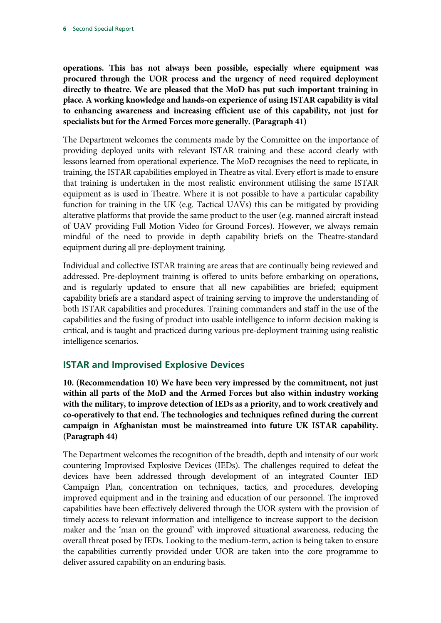**operations. This has not always been possible, especially where equipment was procured through the UOR process and the urgency of need required deployment directly to theatre. We are pleased that the MoD has put such important training in place. A working knowledge and hands-on experience of using ISTAR capability is vital to enhancing awareness and increasing efficient use of this capability, not just for specialists but for the Armed Forces more generally. (Paragraph 41)** 

The Department welcomes the comments made by the Committee on the importance of providing deployed units with relevant ISTAR training and these accord clearly with lessons learned from operational experience. The MoD recognises the need to replicate, in training, the ISTAR capabilities employed in Theatre as vital. Every effort is made to ensure that training is undertaken in the most realistic environment utilising the same ISTAR equipment as is used in Theatre. Where it is not possible to have a particular capability function for training in the UK (e.g. Tactical UAVs) this can be mitigated by providing alterative platforms that provide the same product to the user (e.g. manned aircraft instead of UAV providing Full Motion Video for Ground Forces). However, we always remain mindful of the need to provide in depth capability briefs on the Theatre-standard equipment during all pre-deployment training.

Individual and collective ISTAR training are areas that are continually being reviewed and addressed. Pre-deployment training is offered to units before embarking on operations, and is regularly updated to ensure that all new capabilities are briefed; equipment capability briefs are a standard aspect of training serving to improve the understanding of both ISTAR capabilities and procedures. Training commanders and staff in the use of the capabilities and the fusing of product into usable intelligence to inform decision making is critical, and is taught and practiced during various pre-deployment training using realistic intelligence scenarios.

# **ISTAR and Improvised Explosive Devices**

**10. (Recommendation 10) We have been very impressed by the commitment, not just within all parts of the MoD and the Armed Forces but also within industry working with the military, to improve detection of IEDs as a priority, and to work creatively and co-operatively to that end. The technologies and techniques refined during the current campaign in Afghanistan must be mainstreamed into future UK ISTAR capability. (Paragraph 44)** 

The Department welcomes the recognition of the breadth, depth and intensity of our work countering Improvised Explosive Devices (IEDs). The challenges required to defeat the devices have been addressed through development of an integrated Counter IED Campaign Plan, concentration on techniques, tactics, and procedures, developing improved equipment and in the training and education of our personnel. The improved capabilities have been effectively delivered through the UOR system with the provision of timely access to relevant information and intelligence to increase support to the decision maker and the 'man on the ground' with improved situational awareness, reducing the overall threat posed by IEDs. Looking to the medium-term, action is being taken to ensure the capabilities currently provided under UOR are taken into the core programme to deliver assured capability on an enduring basis.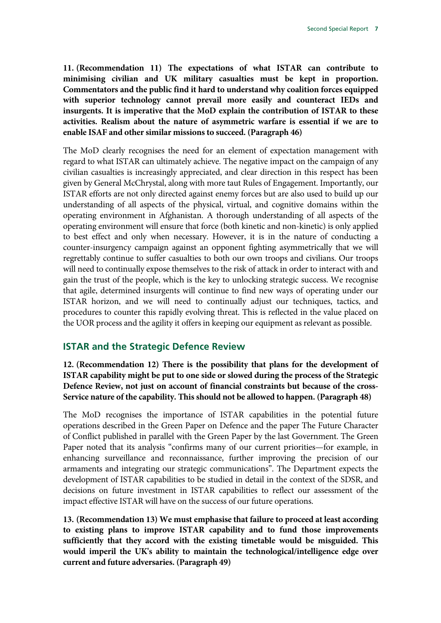**11. (Recommendation 11) The expectations of what ISTAR can contribute to minimising civilian and UK military casualties must be kept in proportion. Commentators and the public find it hard to understand why coalition forces equipped with superior technology cannot prevail more easily and counteract IEDs and insurgents. It is imperative that the MoD explain the contribution of ISTAR to these activities. Realism about the nature of asymmetric warfare is essential if we are to enable ISAF and other similar missions to succeed. (Paragraph 46)** 

The MoD clearly recognises the need for an element of expectation management with regard to what ISTAR can ultimately achieve. The negative impact on the campaign of any civilian casualties is increasingly appreciated, and clear direction in this respect has been given by General McChrystal, along with more taut Rules of Engagement. Importantly, our ISTAR efforts are not only directed against enemy forces but are also used to build up our understanding of all aspects of the physical, virtual, and cognitive domains within the operating environment in Afghanistan. A thorough understanding of all aspects of the operating environment will ensure that force (both kinetic and non-kinetic) is only applied to best effect and only when necessary. However, it is in the nature of conducting a counter-insurgency campaign against an opponent fighting asymmetrically that we will regrettably continue to suffer casualties to both our own troops and civilians. Our troops will need to continually expose themselves to the risk of attack in order to interact with and gain the trust of the people, which is the key to unlocking strategic success. We recognise that agile, determined insurgents will continue to find new ways of operating under our ISTAR horizon, and we will need to continually adjust our techniques, tactics, and procedures to counter this rapidly evolving threat. This is reflected in the value placed on the UOR process and the agility it offers in keeping our equipment as relevant as possible.

### **ISTAR and the Strategic Defence Review**

**12. (Recommendation 12) There is the possibility that plans for the development of ISTAR capability might be put to one side or slowed during the process of the Strategic Defence Review, not just on account of financial constraints but because of the cross-Service nature of the capability. This should not be allowed to happen. (Paragraph 48)** 

The MoD recognises the importance of ISTAR capabilities in the potential future operations described in the Green Paper on Defence and the paper The Future Character of Conflict published in parallel with the Green Paper by the last Government. The Green Paper noted that its analysis "confirms many of our current priorities—for example, in enhancing surveillance and reconnaissance, further improving the precision of our armaments and integrating our strategic communications". The Department expects the development of ISTAR capabilities to be studied in detail in the context of the SDSR, and decisions on future investment in ISTAR capabilities to reflect our assessment of the impact effective ISTAR will have on the success of our future operations.

**13. (Recommendation 13) We must emphasise that failure to proceed at least according to existing plans to improve ISTAR capability and to fund those improvements sufficiently that they accord with the existing timetable would be misguided. This would imperil the UK's ability to maintain the technological/intelligence edge over current and future adversaries. (Paragraph 49)**